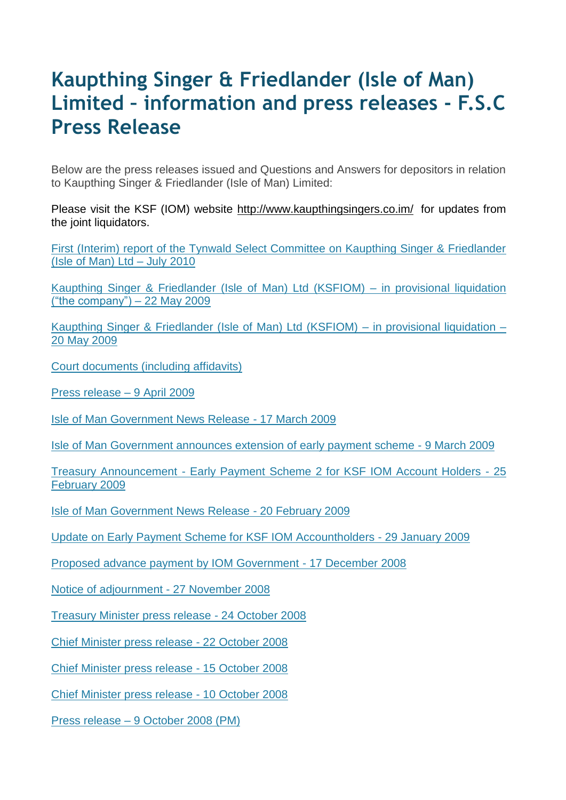## **Kaupthing Singer & Friedlander (Isle of Man) Limited – information and press releases - F.S.C Press Release**

Below are the press releases issued and Questions and Answers for depositors in relation to Kaupthing Singer & Friedlander (Isle of Man) Limited:

Please visit the KSF (IOM) website<http://www.kaupthingsingers.co.im/> for updates from the joint liquidators.

[First \(Interim\) report of the Tynwald Select Committee on Kaupthing Singer & Friedlander](http://www.tynwald.org.im/papers/reports/2009-2010/r0019.pdf)  [\(Isle of Man\) Ltd –](http://www.tynwald.org.im/papers/reports/2009-2010/r0019.pdf) July 2010

[Kaupthing Singer & Friedlander \(Isle of Man\) Ltd \(KSFIOM\) –](http://www.gov.im/lib/docs/fsc/ksfiominprovisionalliquidation1.pdf) in provisional liquidation [\("the company"\)](http://www.gov.im/lib/docs/fsc/ksfiominprovisionalliquidation1.pdf) – 22 May 2009

[Kaupthing Singer & Friedlander \(Isle of Man\) Ltd \(KSFIOM\) –](http://www.gov.im/lib/docs/fsc/ksfiominprovisionalliquidation.pdf) in provisional liquidation – [20 May 2009](http://www.gov.im/lib/docs/fsc/ksfiominprovisionalliquidation.pdf)

[Court documents \(including affidavits\)](http://www.fsc.gov.im/ViewNews.gov?page=lib/news/fsc/kaupthingupdate2.xml)

[Press release –](http://www.fsc.gov.im/ViewNews.gov?page=lib/news/fsc/courthearing9tha.xml) 9 April 2009

[Isle of Man Government News Release -](http://www.gov.im/lib/news/cso/tynwaldtobeasked.xml) 17 March 2009

Isle of Man [Government announces extension of early payment scheme -](http://www.gov.im/cso/faq_gfs.xml) 9 March 200[9](http://www.gov.im/cso/faq_gfs.xml)

Treasury Announcement - [Early Payment Scheme 2 for KSF IOM Account Holders -](http://www.gov.im/lib/docs/fsc/PressReleases/ksfeps2web25feb2009.pdf) 25 [February 2009](http://www.gov.im/lib/docs/fsc/PressReleases/ksfeps2web25feb2009.pdf)

[Isle of Man Government News Release -](http://www.gov.im/lib/news/cso/courtgivesgoahea.xml) 20 February 2009

[Update on Early Payment Scheme for KSF IOM Accountholders -](http://www.gov.im/cso/faq_gfs.xml) 29 January 200[9](http://www.gov.im/cso/faq_gfs.xml)

[Proposed advance payment by IOM Government -](http://www.gov.im/cso/faq_gfs.xml) 17 December 200[8](http://www.gov.im/cso/faq_gfs.xml)

[Notice of adjournment -](http://www.fsc.gov.im/ViewNews.gov?page=lib/news/fsc/noticeofadjournm.xml) 27 November 2008

[Treasury Minister press release -](http://www.gov.im/lib/docs/fsc/PressReleases/ksfiomadjourned.pdf) 24 October 200[8](http://www.gov.im/lib/docs/fsc/PressReleases/ksfiomadjourned.pdf)

[Chief Minister press release -](http://www.gov.im/lib/docs/fsc/negotiationswithukoverbank.pdf) 22 October 200[8](http://www.gov.im/lib/docs/fsc/negotiationswithukoverbank.pdf)

[Chief Minister press release -](http://www.gov.im/lib/docs/fsc/PressReleases/ukicelandupdateoct1508.pdf) 15 October 200[8](http://www.gov.im/lib/docs/fsc/PressReleases/ukicelandupdateoct1508.pdf)

[Chief Minister press release -](http://www.gov.im/lib/docs/fsc/PressReleases/ksfparentalguarantee.pdf) 10 October 200[8](http://www.gov.im/lib/docs/fsc/PressReleases/ksfparentalguarantee.pdf)

Press release – [9 October 2008 \(PM\)](http://www.gov.im/lib/docs/fsc/PressReleases/ksfpressrelease.pdf)